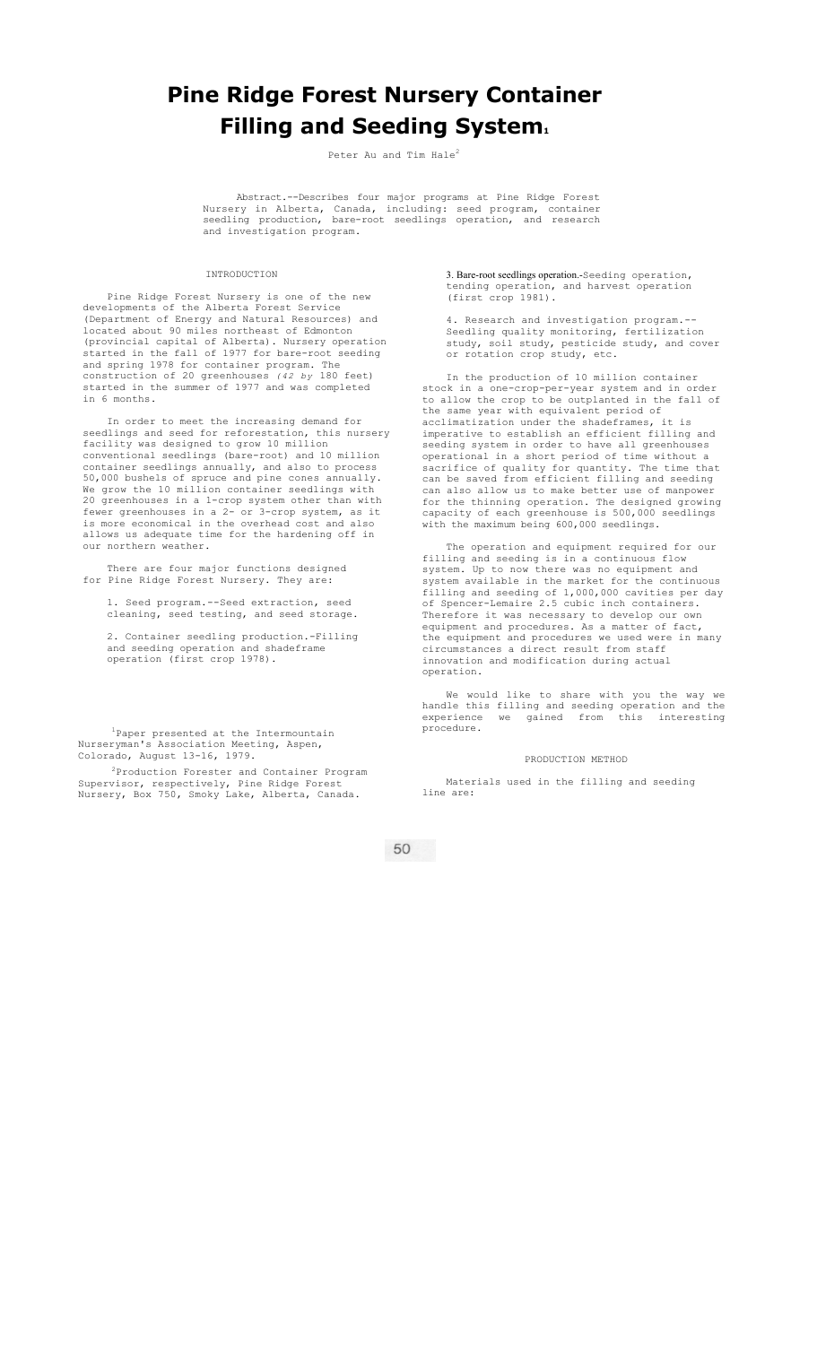# **Pine Ridge Forest Nursery Container Filling and Seeding System.**

Peter Au and Tim Hale<sup>2</sup>

Abstract.--Describes four major programs at Pine Ridge Forest Nursery in Alberta, Canada, including: seed program, container seedling production, bare-root seedlings operation, and research and investigation program.

INTRODUCTION

Pine Ridge Forest Nursery is one of the new developments of the Alberta Forest Service (Department of Energy and Natural Resources) and located about 90 miles northeast of Edmonton (provincial capital of Alberta). Nursery operation started in the fall of 1977 for bare-root seeding and spring 1978 for container program. The construction of 20 greenhouses  $(42 \text{ by } 180 \text{ feet})$ construction of 20 greenhouses started in the summer of 1977 and was completed in 6 months.

In order to meet the increasing demand for seedlings and seed for reforestation, this nursery facility was designed to grow 10 million conventional seedlings (bare-root) and 10 million container seedlings annually, and also to process 50,000 bushels of spruce and pine cones annually. We grow the 10 million container seedlings with 20 greenhouses in a 1-crop system other than with fewer greenhouses in a 2- or 3-crop system, as it is more economical in the overhead cost and also allows us adequate time for the hardening off in our northern weather.

There are four major functions designed for Pine Ridge Forest Nursery. They are:

1. Seed program.--Seed extraction, seed cleaning, seed testing, and seed storage.

2. Container seedling production.-Filling and seeding operation and shadeframe operation (first crop 1978).

<sup>1</sup>Paper presented at the Intermountain Nurseryman's Association Meeting, Aspen, Colorado, August 13-16, 1979.

2Production Forester and Container Program Supervisor, respectively, Pine Ridge Forest Nursery, Box 750, Smoky Lake, Alberta, Canada.

3. Bare-root seedlings operation.-Seeding operation, tending operation, and harvest operation (first crop 1981).

4. Research and investigation program.-- Seedling quality monitoring, fertilization study, soil study, pesticide study, and cover or rotation crop study, etc.

In the production of 10 million container stock in a one-crop-per-year system and in order to allow the crop to be outplanted in the fall of the same year with equivalent period of acclimatization under the shadeframes, it is imperative to establish an efficient filling and seeding system in order to have all greenhouses operational in a short period of time without a sacrifice of quality for quantity. The time that can be saved from efficient filling and seeding can also allow us to make better use of manpower for the thinning operation. The designed growing capacity of each greenhouse is 500,000 seedlings with the maximum being 600,000 seedlings.

The operation and equipment required for our filling and seeding is in a continuous flow system. Up to now there was no equipment and system available in the market for the continuous filling and seeding of 1,000,000 cavities per day of Spencer-Lemaire 2.5 cubic inch containers. Therefore it was necessary to develop our own equipment and procedures. As a matter of fact, the equipment and procedures we used were in many circumstances a direct result from staff innovation and modification during actual operation.

We would like to share with you the way we handle this filling and seeding operation and the experience we gained from this interesting procedure.

#### PRODUCTION METHOD

Materials used in the filling and seeding line are:

50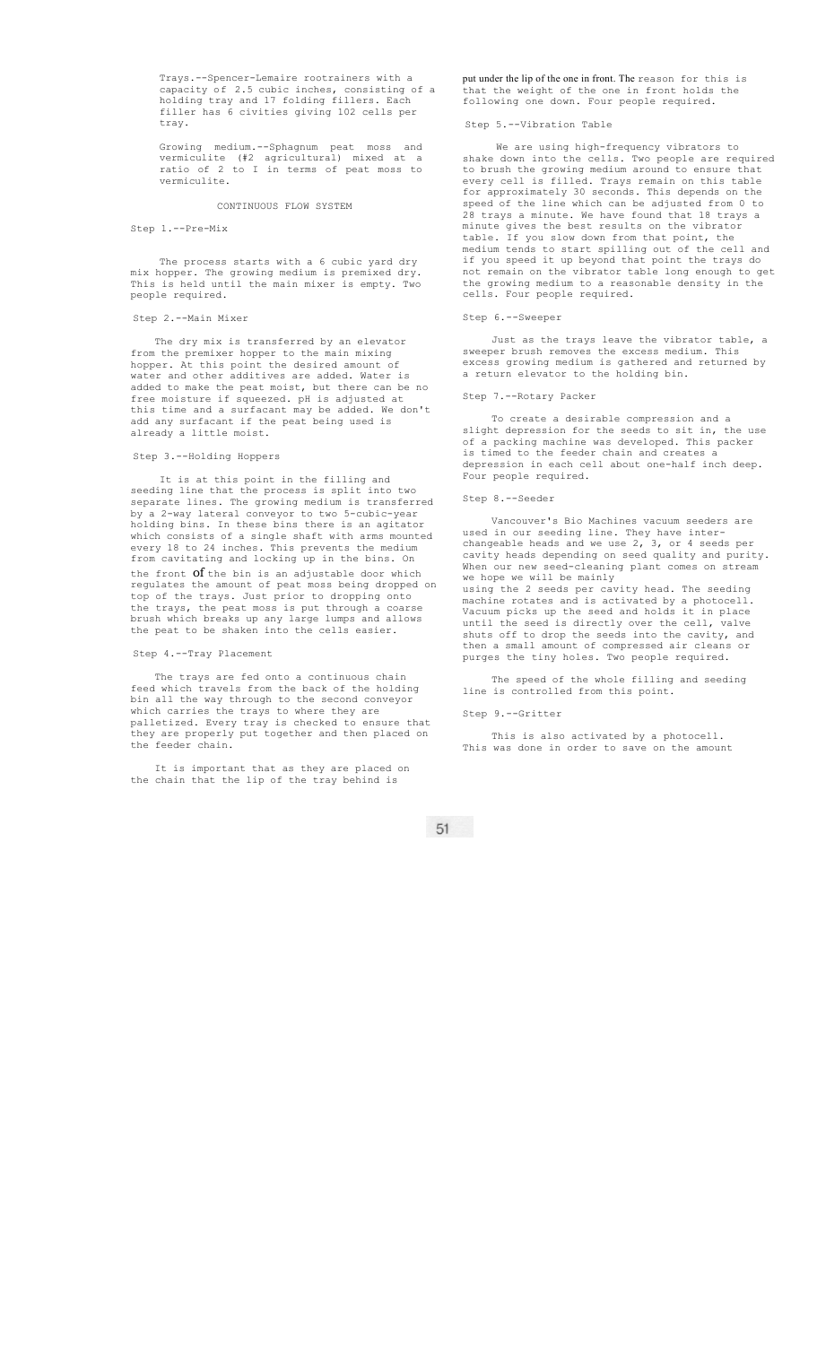Trays.--Spencer-Lemaire rootrainers with a capacity of 2.5 cubic inches, consisting of a holding tray and 17 folding fillers. Each filler has 6 civities giving 102 cells per tray.

Growing medium.--Sphagnum peat moss and vermiculite (#2 agricultural) mixed at a ratio of 2 to I in terms of peat moss to vermiculite.

CONTINUOUS FLOW SYSTEM

# Step 1.--Pre-Mix

The process starts with a 6 cubic yard dry mix hopper. The growing medium is premixed dry. This is held until the main mixer is empty. Two people required.

## Step 2.--Main Mixer

The dry mix is transferred by an elevator from the premixer hopper to the main mixing hopper. At this point the desired amount of water and other additives are added. Water is added to make the peat moist, but there can be no free moisture if squeezed. pH is adjusted at this time and a surfacant may be added. We don't add any surfacant if the peat being used is already a little moist.

## Step 3.--Holding Hoppers

It is at this point in the filling and seeding line that the process is split into two separate lines. The growing medium is transferred by a 2-way lateral conveyor to two 5-cubic-year holding bins. In these bins there is an agitator which consists of a single shaft with arms mounted every 18 to 24 inches. This prevents the medium from cavitating and locking up in the bins. On the front **Of** the bin is an adjustable door which regulates the amount of peat moss being dropped on top of the trays. Just prior to dropping onto the trays, the peat moss is put through a coarse brush which breaks up any large lumps and allows the peat to be shaken into the cells easier.

## Step 4.--Tray Placement

The trays are fed onto a continuous chain feed which travels from the back of the holding bin all the way through to the second conveyor which carries the trays to where they are palletized. Every tray is checked to ensure that they are properly put together and then placed on the feeder chain.

It is important that as they are placed on the chain that the lip of the tray behind is

put under the lip of the one in front. The reason for this is that the weight of the one in front holds the following one down. Four people required.

# Step 5.--Vibration Table

We are using high-frequency vibrators to shake down into the cells. Two people are required to brush the growing medium around to ensure that every cell is filled. Trays remain on this table for approximately 30 seconds. This depends on the speed of the line which can be adjusted from 0 to 28 trays a minute. We have found that 18 trays a minute gives the best results on the vibrator table. If you slow down from that point, the medium tends to start spilling out of the cell and if you speed it up beyond that point the trays do not remain on the vibrator table long enough to get the growing medium to a reasonable density in the cells. Four people required.

## Step 6.--Sweeper

Just as the trays leave the vibrator table, a sweeper brush removes the excess medium. This excess growing medium is gathered and returned by a return elevator to the holding bin.

#### Step 7.--Rotary Packer

To create a desirable compression and a slight depression for the seeds to sit in, the use of a packing machine was developed. This packer is timed to the feeder chain and creates a depression in each cell about one-half inch deep. Four people required.

# Step 8.--Seeder

Vancouver's Bio Machines vacuum seeders are used in our seeding line. They have interchangeable heads and we use 2, 3, or 4 seeds per cavity heads depending on seed quality and purity. When our new seed-cleaning plant comes on stream we hope we will be mainly using the 2 seeds per cavity head. The seeding machine rotates and is activated by a photocell.

Vacuum picks up the seed and holds it in place until the seed is directly over the cell, valve shuts off to drop the seeds into the cavity, and then a small amount of compressed air cleans or purges the tiny holes. Two people required.

The speed of the whole filling and seeding line is controlled from this point.

### Step 9.--Gritter

This is also activated by a photocell. This was done in order to save on the amount

51